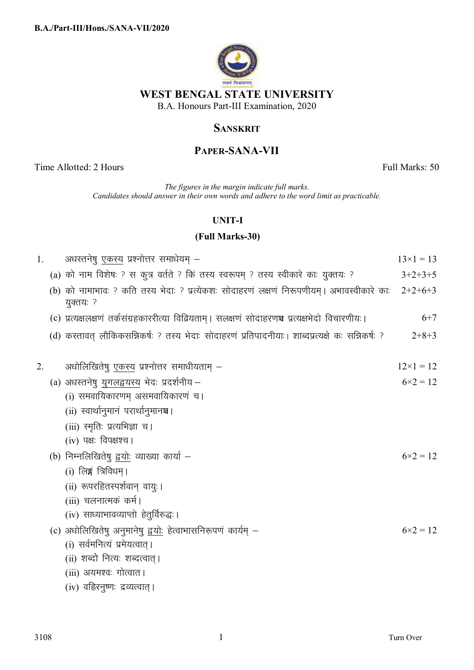

## **SANSKRIT**

# **PAPER-SANA-VII**

Time Allotted: 2 Hours Full Marks: 50

*The figures in the margin indicate full marks. Candidates should answer in their own words and adhere to the word limit as practicable.*

### **UNIT-I**

## **(Full Marks-30)**

| 1. | अधरतनेषु एकस्य प्रश्नोत्तर समाधेयम् –                                                                    | $13\times1=13$    |
|----|----------------------------------------------------------------------------------------------------------|-------------------|
|    | (a) को नाम विशेषः ? स कुत्र वर्तते ? किं तस्य स्वरूपम् ? तस्य स्वीकारे काः युक्तयः ?                     | $3+2+3+5$         |
|    | (b) को नामाभावः ? कति तस्य भेदाः ? प्रत्येकशः सोदाहरणं लक्षणं निरूपणीयम् । अभावस्वीकारे काः<br>युक्तयः ? | $2+2+6+3$         |
|    | (c) प्रत्यक्षलक्षणं तर्कसंग्रहकाररीत्या विव्रियताम् । सलक्षणं सोदाहरणञ्च प्रत्यक्षभेदो विचारणीयः ।       | $6+7$             |
|    | (d) कस्तावत् लौकिकसन्निकर्षः ? तस्य भेदाः सोदाहरणं प्रतिपादनीयाः । शाब्दप्रत्यक्षे कः सन्निकर्षः ?       | $2+8+3$           |
| 2. | अधोलिखितेषु <u>एकस्य</u> प्रश्नोत्तर समाधीयताम् —                                                        | $12\times1=12$    |
|    | (a) अधस्तनेषु युगलद्वयस्य भेदः प्रदर्शनीय-                                                               | $6 \times 2 = 12$ |
|    | (i) समवायिकारणम् असमवायिकारणं च ।                                                                        |                   |
|    | (ii) स्वार्थानुमानं परार्थानुमानञ्च।                                                                     |                   |
|    | (iii) स्मृतिः प्रत्यभिज्ञा च।                                                                            |                   |
|    | (iv) पक्ष: विपक्षश्च।                                                                                    |                   |
|    | (b) निम्नलिखितेषु द्वयोः व्याख्या कार्या –                                                               | $6 \times 2 = 12$ |
|    | (i) लिङ्ग त्रिविधम् ।                                                                                    |                   |
|    | (ii) रूपरहितस्पर्शवान् वायुः।                                                                            |                   |
|    | (iii) चलनात्मकं कर्म।                                                                                    |                   |
|    | (iv) साध्याभावव्याप्तो हेतुर्विरुद्धः।                                                                   |                   |
|    | (c) अधोलिखितेषु अनुमानेषु द्वयोः हेत्वाभासनिरूपणं कार्यम् –                                              | $6 \times 2 = 12$ |
|    | (i) सर्वमनित्यं प्रमेयत्वात् ।                                                                           |                   |
|    | (ii) शब्दो नित्यः शब्दत्वात्।                                                                            |                   |
|    | (iii) अयमश्वः गोत्वात ।                                                                                  |                   |
|    | (iv) वहिरनुष्णः द्रव्यत्वात् ।                                                                           |                   |